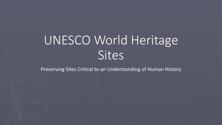## UNESCO World Heritage **Sites**

Preserving Sites Critical to an Understanding of Human History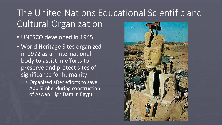## The United Nations Educational Scientific and Cultural Organization

- UNESCO developed in 1945
- World Heritage Sites organized in 1972 as an international body to assist in efforts to preserve and protect sites of significance for humanity
	- Organized after efforts to save Abu Simbel during construction of Aswan High Dam in Egypt

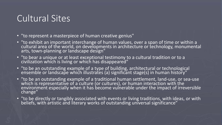## Cultural Sites

- "to represent a masterpiece of human creative genius"
- "to exhibit an important interchange of human values, over a span of time or within a cultural area of the world, on developments in architecture or technology, monumental arts, town-planning or landscape design"
- "to bear a unique or at least exceptional testimony to a cultural tradition or to a civilization which is living or which has disappeared"
- "to be an outstanding example of a type of building, architectural or technological ensemble or landscape which illustrates (a) significant stage(s) in human history"
- "to be an outstanding example of a traditional human settlement, land-use, or sea-use which is representative of a culture (or cultures), or human interaction with the environment especially when it has become vulnerable under the impact of irreversible change"
- "to be directly or tangibly associated with events or living traditions, with ideas, or with beliefs, with artistic and literary works of outstanding universal significance"